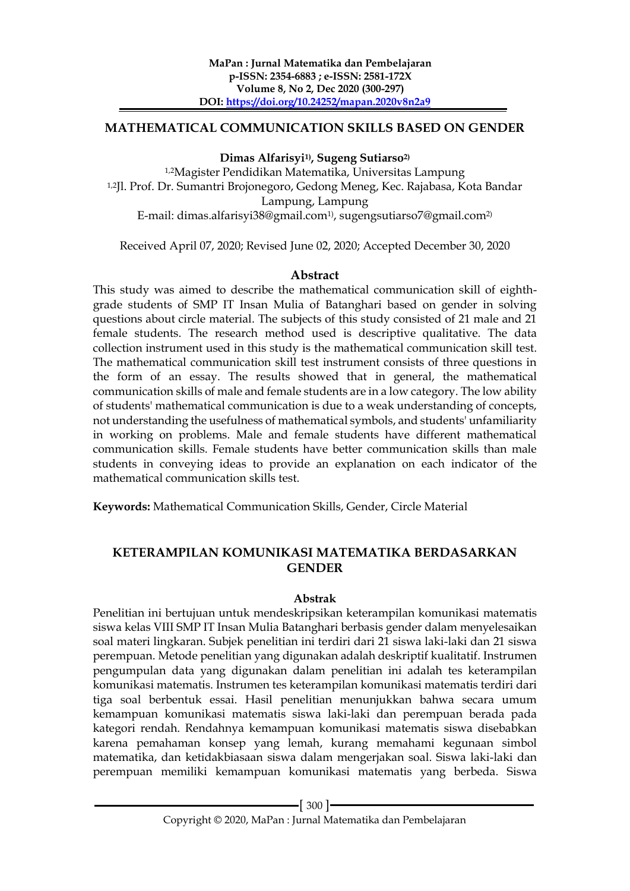#### **MATHEMATICAL COMMUNICATION SKILLS BASED ON GENDER**

**Dimas Alfarisyi1), Sugeng Sutiarso2)**

1,2Magister Pendidikan Matematika, Universitas Lampung 1,2Jl. Prof. Dr. Sumantri Brojonegoro, Gedong Meneg, Kec. Rajabasa, Kota Bandar Lampung, Lampung E-mail: dimas.alfarisyi38@gmail.com1) , sugengsutiarso7@gmail.com2)

Received April 07, 2020; Revised June 02, 2020; Accepted December 30, 2020

# **Abstract**

This study was aimed to describe the mathematical communication skill of eighthgrade students of SMP IT Insan Mulia of Batanghari based on gender in solving questions about circle material. The subjects of this study consisted of 21 male and 21 female students. The research method used is descriptive qualitative. The data collection instrument used in this study is the mathematical communication skill test. The mathematical communication skill test instrument consists of three questions in the form of an essay. The results showed that in general, the mathematical communication skills of male and female students are in a low category. The low ability of students' mathematical communication is due to a weak understanding of concepts, not understanding the usefulness of mathematical symbols, and students' unfamiliarity in working on problems. Male and female students have different mathematical communication skills. Female students have better communication skills than male students in conveying ideas to provide an explanation on each indicator of the mathematical communication skills test.

**Keywords:** Mathematical Communication Skills, Gender, Circle Material

# **KETERAMPILAN KOMUNIKASI MATEMATIKA BERDASARKAN GENDER**

#### **Abstrak**

Penelitian ini bertujuan untuk mendeskripsikan keterampilan komunikasi matematis siswa kelas VIII SMP IT Insan Mulia Batanghari berbasis gender dalam menyelesaikan soal materi lingkaran. Subjek penelitian ini terdiri dari 21 siswa laki-laki dan 21 siswa perempuan. Metode penelitian yang digunakan adalah deskriptif kualitatif. Instrumen pengumpulan data yang digunakan dalam penelitian ini adalah tes keterampilan komunikasi matematis. Instrumen tes keterampilan komunikasi matematis terdiri dari tiga soal berbentuk essai. Hasil penelitian menunjukkan bahwa secara umum kemampuan komunikasi matematis siswa laki-laki dan perempuan berada pada kategori rendah. Rendahnya kemampuan komunikasi matematis siswa disebabkan karena pemahaman konsep yang lemah, kurang memahami kegunaan simbol matematika, dan ketidakbiasaan siswa dalam mengerjakan soal. Siswa laki-laki dan perempuan memiliki kemampuan komunikasi matematis yang berbeda. Siswa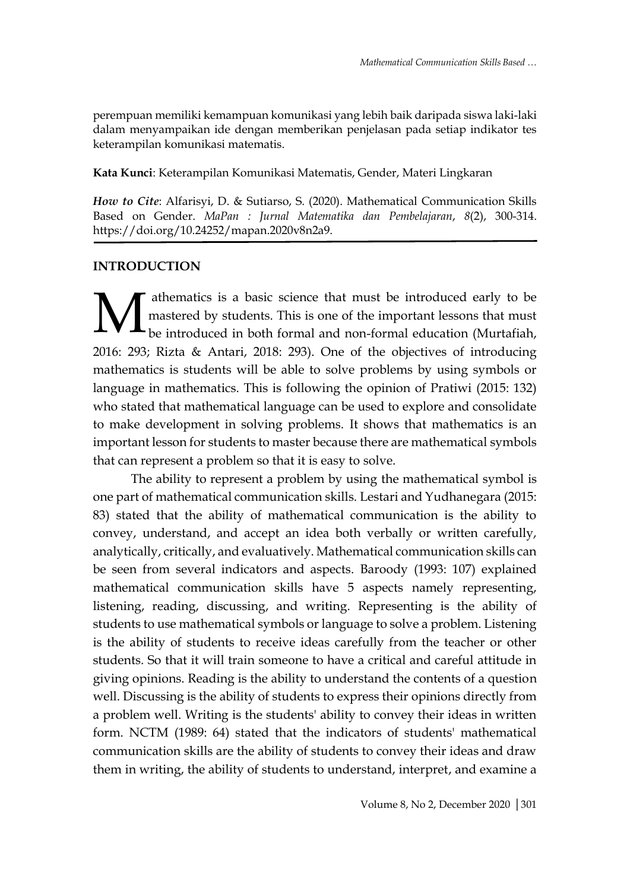perempuan memiliki kemampuan komunikasi yang lebih baik daripada siswa laki-laki dalam menyampaikan ide dengan memberikan penjelasan pada setiap indikator tes keterampilan komunikasi matematis.

**Kata Kunci**: Keterampilan Komunikasi Matematis, Gender, Materi Lingkaran

*How to Cite*: Alfarisyi, D. & Sutiarso, S. (2020). Mathematical Communication Skills Based on Gender. *MaPan : Jurnal Matematika dan Pembelajaran*, *8*(2), 300-314. https://doi.org/10.24252/mapan.2020v8n2a9.

### **INTRODUCTION**

athematics is a basic science that must be introduced early to be mastered by students. This is one of the important lessons that must be introduced in both formal and non-formal education (Murtafiah, 2016: 293; Rizta & Antari, 2018: 293). One of the objectives of introducing mathematics is students will be able to solve problems by using symbols or language in mathematics. This is following the opinion of Pratiwi (2015: 132) who stated that mathematical language can be used to explore and consolidate to make development in solving problems. It shows that mathematics is an important lesson for students to master because there are mathematical symbols that can represent a problem so that it is easy to solve. M

The ability to represent a problem by using the mathematical symbol is one part of mathematical communication skills. Lestari and Yudhanegara (2015: 83) stated that the ability of mathematical communication is the ability to convey, understand, and accept an idea both verbally or written carefully, analytically, critically, and evaluatively. Mathematical communication skills can be seen from several indicators and aspects. Baroody (1993: 107) explained mathematical communication skills have 5 aspects namely representing, listening, reading, discussing, and writing. Representing is the ability of students to use mathematical symbols or language to solve a problem. Listening is the ability of students to receive ideas carefully from the teacher or other students. So that it will train someone to have a critical and careful attitude in giving opinions. Reading is the ability to understand the contents of a question well. Discussing is the ability of students to express their opinions directly from a problem well. Writing is the students' ability to convey their ideas in written form. NCTM (1989: 64) stated that the indicators of students' mathematical communication skills are the ability of students to convey their ideas and draw them in writing, the ability of students to understand, interpret, and examine a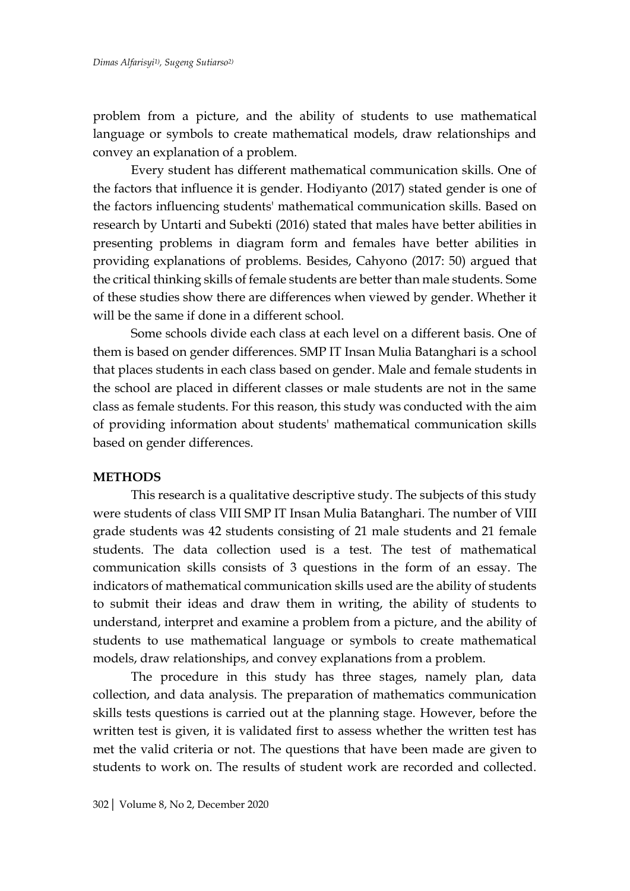problem from a picture, and the ability of students to use mathematical language or symbols to create mathematical models, draw relationships and convey an explanation of a problem.

Every student has different mathematical communication skills. One of the factors that influence it is gender. Hodiyanto (2017) stated gender is one of the factors influencing students' mathematical communication skills. Based on research by Untarti and Subekti (2016) stated that males have better abilities in presenting problems in diagram form and females have better abilities in providing explanations of problems. Besides, Cahyono (2017: 50) argued that the critical thinking skills of female students are better than male students. Some of these studies show there are differences when viewed by gender. Whether it will be the same if done in a different school.

Some schools divide each class at each level on a different basis. One of them is based on gender differences. SMP IT Insan Mulia Batanghari is a school that places students in each class based on gender. Male and female students in the school are placed in different classes or male students are not in the same class as female students. For this reason, this study was conducted with the aim of providing information about students' mathematical communication skills based on gender differences.

#### **METHODS**

This research is a qualitative descriptive study. The subjects of this study were students of class VIII SMP IT Insan Mulia Batanghari. The number of VIII grade students was 42 students consisting of 21 male students and 21 female students. The data collection used is a test. The test of mathematical communication skills consists of 3 questions in the form of an essay. The indicators of mathematical communication skills used are the ability of students to submit their ideas and draw them in writing, the ability of students to understand, interpret and examine a problem from a picture, and the ability of students to use mathematical language or symbols to create mathematical models, draw relationships, and convey explanations from a problem.

The procedure in this study has three stages, namely plan, data collection, and data analysis. The preparation of mathematics communication skills tests questions is carried out at the planning stage. However, before the written test is given, it is validated first to assess whether the written test has met the valid criteria or not. The questions that have been made are given to students to work on. The results of student work are recorded and collected.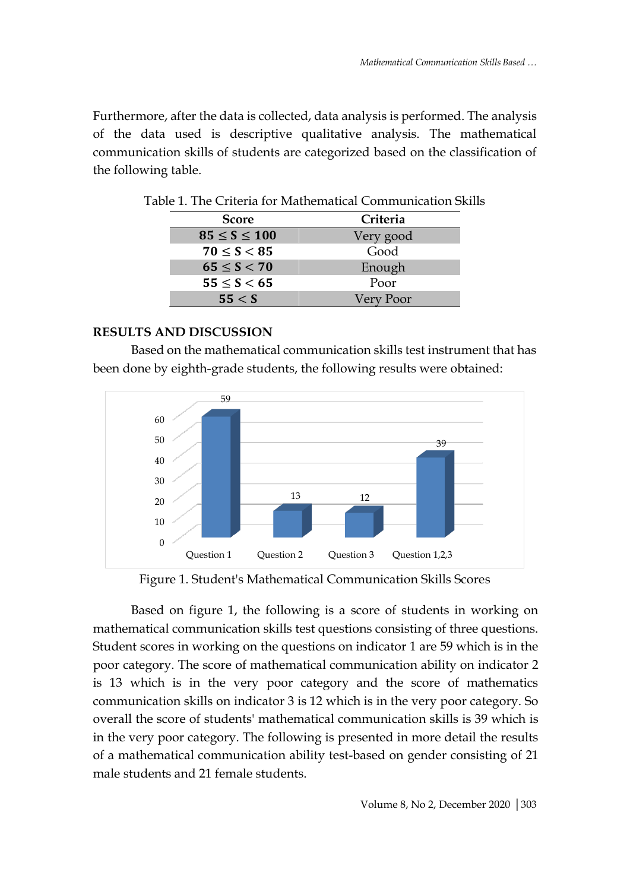Furthermore, after the data is collected, data analysis is performed. The analysis of the data used is descriptive qualitative analysis. The mathematical communication skills of students are categorized based on the classification of the following table.

| <b>Score</b>       | Criteria  |
|--------------------|-----------|
| $85 \le S \le 100$ | Very good |
| $70 \le S < 85$    | Good      |
| $65 \le S < 70$    | Enough    |
| $55 \le S < 65$    | Poor      |
| 55 < S             | Very Poor |

Table 1. The Criteria for Mathematical Communication Skills

# **RESULTS AND DISCUSSION**

Based on the mathematical communication skills test instrument that has been done by eighth-grade students, the following results were obtained:



Figure 1. Student's Mathematical Communication Skills Scores

Based on figure 1, the following is a score of students in working on mathematical communication skills test questions consisting of three questions. Student scores in working on the questions on indicator 1 are 59 which is in the poor category. The score of mathematical communication ability on indicator 2 is 13 which is in the very poor category and the score of mathematics communication skills on indicator 3 is 12 which is in the very poor category. So overall the score of students' mathematical communication skills is 39 which is in the very poor category. The following is presented in more detail the results of a mathematical communication ability test-based on gender consisting of 21 male students and 21 female students.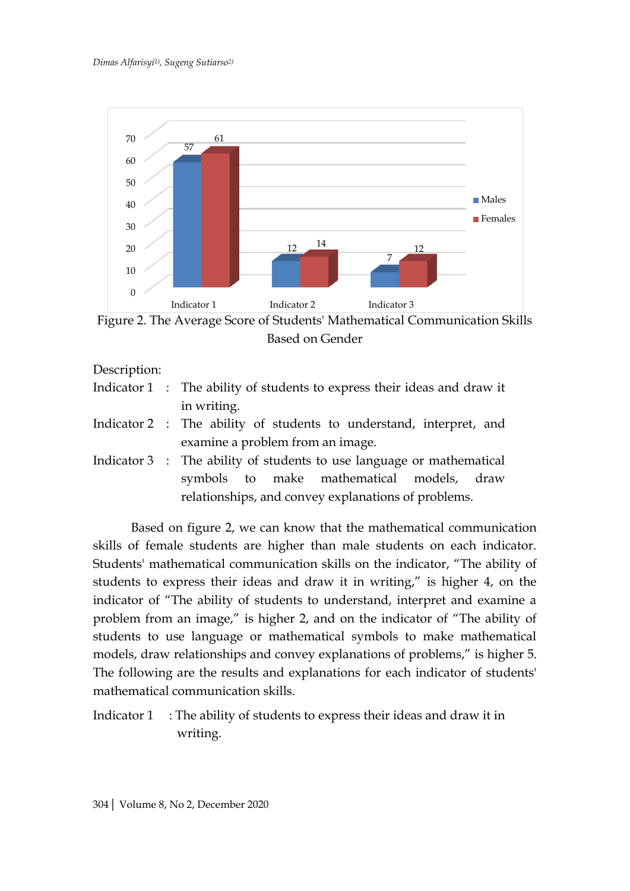

Figure 2. The Average Score of Students' Mathematical Communication Skills Based on Gender

Description:

- Indicator 1 : The ability of students to express their ideas and draw it in writing.
- Indicator 2 : The ability of students to understand, interpret, and examine a problem from an image.
- Indicator 3 : The ability of students to use language or mathematical symbols to make mathematical models, draw relationships, and convey explanations of problems.

Based on figure 2, we can know that the mathematical communication skills of female students are higher than male students on each indicator. Students' mathematical communication skills on the indicator, "The ability of students to express their ideas and draw it in writing," is higher 4, on the indicator of "The ability of students to understand, interpret and examine a problem from an image," is higher 2, and on the indicator of "The ability of students to use language or mathematical symbols to make mathematical models, draw relationships and convey explanations of problems," is higher 5. The following are the results and explanations for each indicator of students' mathematical communication skills.

Indicator 1 : The ability of students to express their ideas and draw it in writing.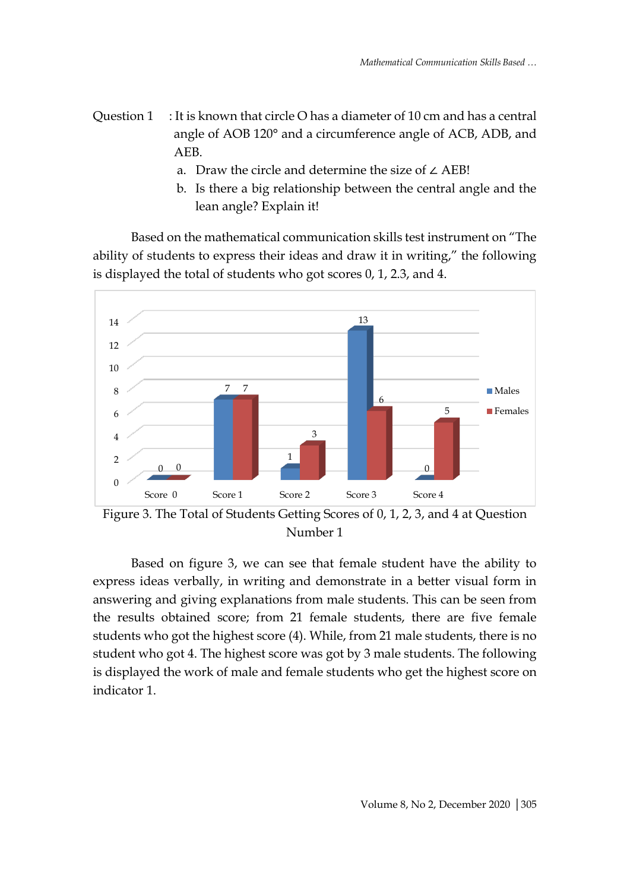- Question 1 : It is known that circle O has a diameter of 10 cm and has a central angle of AOB 120° and a circumference angle of ACB, ADB, and AEB.
	- a. Draw the circle and determine the size of ∠ AEB!
	- b. Is there a big relationship between the central angle and the lean angle? Explain it!

Based on the mathematical communication skills test instrument on "The ability of students to express their ideas and draw it in writing," the following is displayed the total of students who got scores 0, 1, 2.3, and 4.



Figure 3. The Total of Students Getting Scores of 0, 1, 2, 3, and 4 at Question Number 1

Based on figure 3, we can see that female student have the ability to express ideas verbally, in writing and demonstrate in a better visual form in answering and giving explanations from male students. This can be seen from the results obtained score; from 21 female students, there are five female students who got the highest score (4). While, from 21 male students, there is no student who got 4. The highest score was got by 3 male students. The following is displayed the work of male and female students who get the highest score on indicator 1.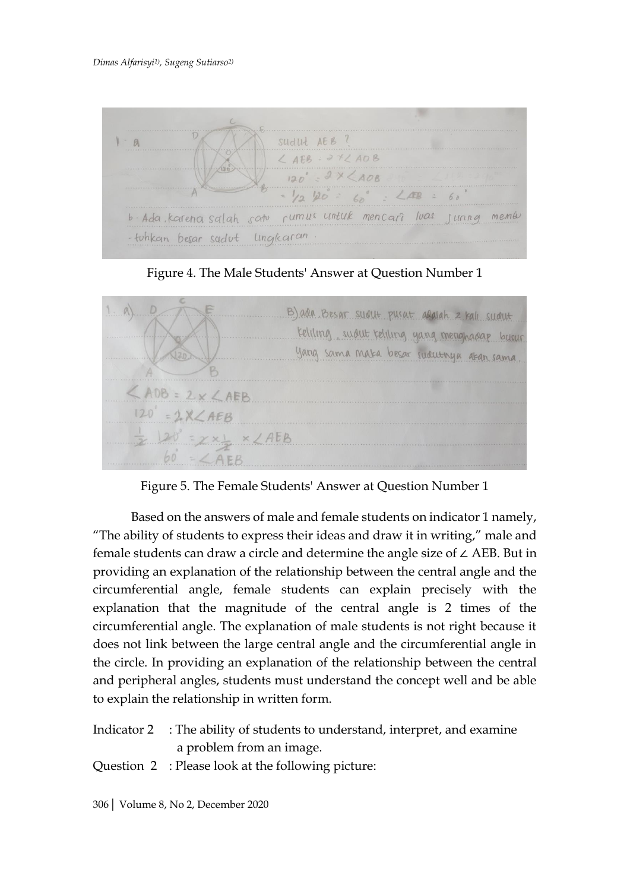

Figure 4. The Male Students' Answer at Question Number 1



Figure 5. The Female Students' Answer at Question Number 1

Based on the answers of male and female students on indicator 1 namely, "The ability of students to express their ideas and draw it in writing," male and female students can draw a circle and determine the angle size of ∠ AEB. But in providing an explanation of the relationship between the central angle and the circumferential angle, female students can explain precisely with the explanation that the magnitude of the central angle is 2 times of the circumferential angle. The explanation of male students is not right because it does not link between the large central angle and the circumferential angle in the circle. In providing an explanation of the relationship between the central and peripheral angles, students must understand the concept well and be able to explain the relationship in written form.

- Indicator 2 : The ability of students to understand, interpret, and examine a problem from an image.
- Question 2 : Please look at the following picture:

306| Volume 8, No 2, December 2020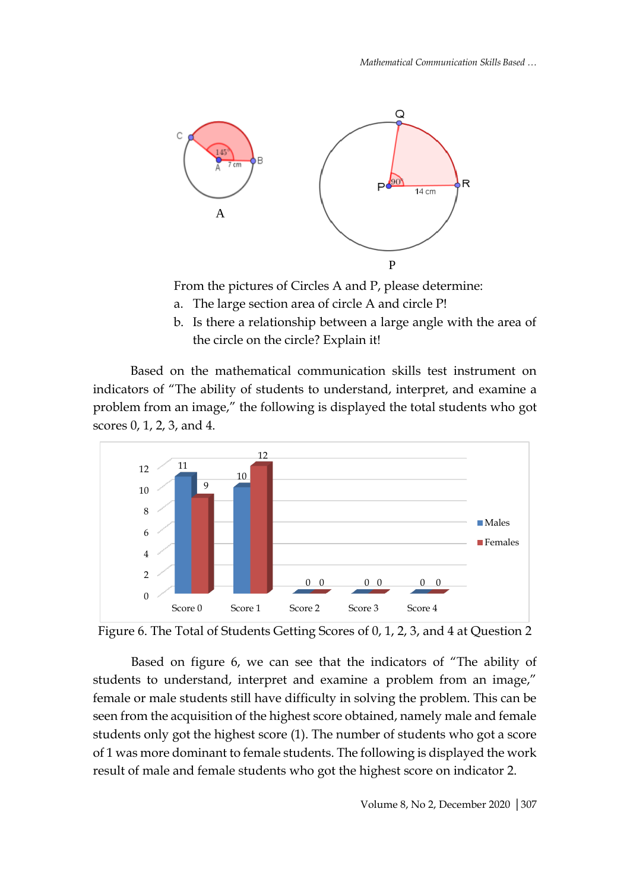*Mathematical Communication Skills Based …*



From the pictures of Circles A and P, please determine:

- a. The large section area of circle A and circle P!
- b. Is there a relationship between a large angle with the area of the circle on the circle? Explain it!

Based on the mathematical communication skills test instrument on indicators of "The ability of students to understand, interpret, and examine a problem from an image," the following is displayed the total students who got scores 0, 1, 2, 3, and 4.





Based on figure 6, we can see that the indicators of "The ability of students to understand, interpret and examine a problem from an image," female or male students still have difficulty in solving the problem. This can be seen from the acquisition of the highest score obtained, namely male and female students only got the highest score (1). The number of students who got a score of 1 was more dominant to female students. The following is displayed the work result of male and female students who got the highest score on indicator 2.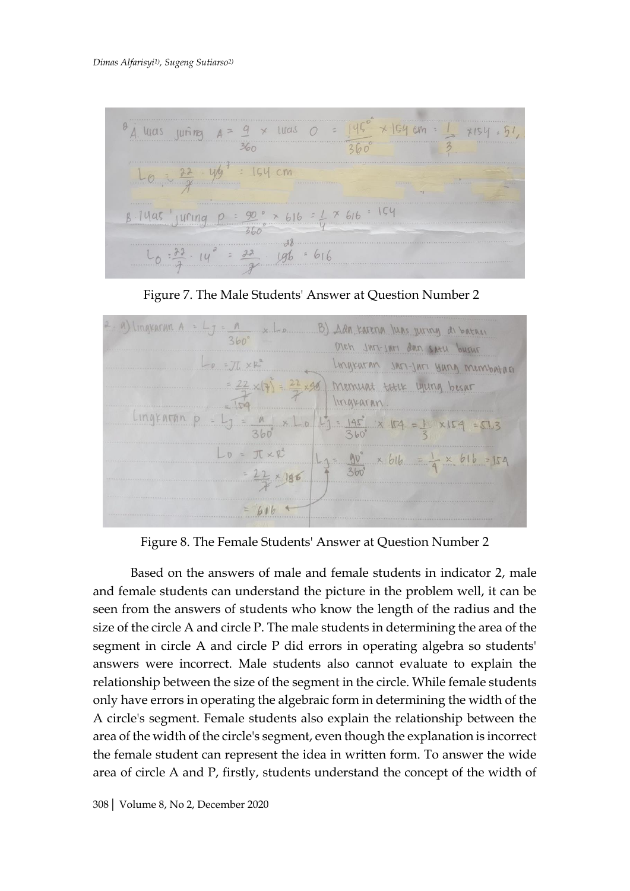





Figure 8. The Female Students' Answer at Question Number 2

Based on the answers of male and female students in indicator 2, male and female students can understand the picture in the problem well, it can be seen from the answers of students who know the length of the radius and the size of the circle A and circle P. The male students in determining the area of the segment in circle A and circle P did errors in operating algebra so students' answers were incorrect. Male students also cannot evaluate to explain the relationship between the size of the segment in the circle. While female students only have errors in operating the algebraic form in determining the width of the A circle's segment. Female students also explain the relationship between the area of the width of the circle's segment, even though the explanation is incorrect the female student can represent the idea in written form. To answer the wide area of circle A and P, firstly, students understand the concept of the width of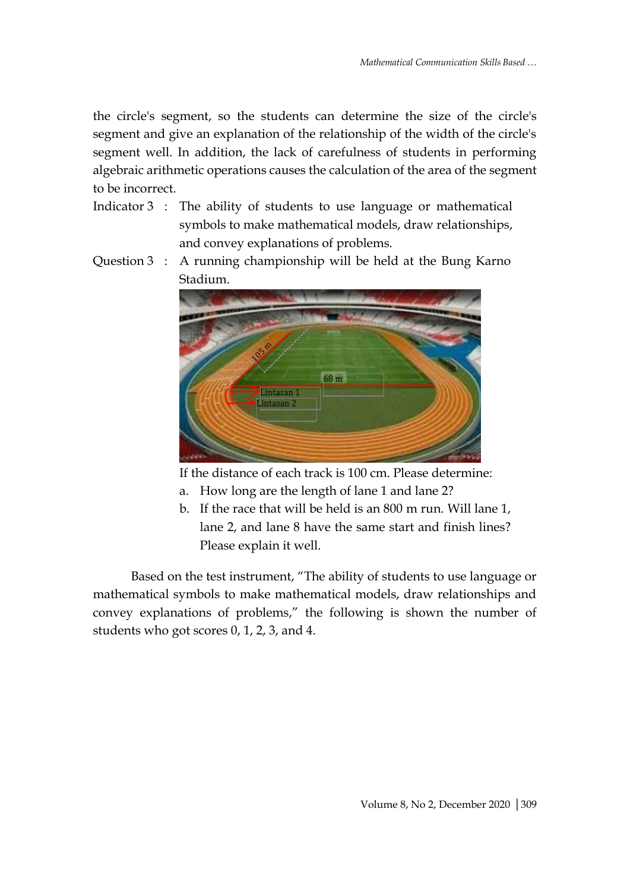the circle's segment, so the students can determine the size of the circle's segment and give an explanation of the relationship of the width of the circle's segment well. In addition, the lack of carefulness of students in performing algebraic arithmetic operations causes the calculation of the area of the segment to be incorrect.

- Indicator 3 : The ability of students to use language or mathematical symbols to make mathematical models, draw relationships, and convey explanations of problems.
- Question 3 : A running championship will be held at the Bung Karno Stadium.



If the distance of each track is 100 cm. Please determine:

- a. How long are the length of lane 1 and lane 2?
- b. If the race that will be held is an 800 m run. Will lane 1, lane 2, and lane 8 have the same start and finish lines? Please explain it well.

Based on the test instrument, "The ability of students to use language or mathematical symbols to make mathematical models, draw relationships and convey explanations of problems," the following is shown the number of students who got scores 0, 1, 2, 3, and 4.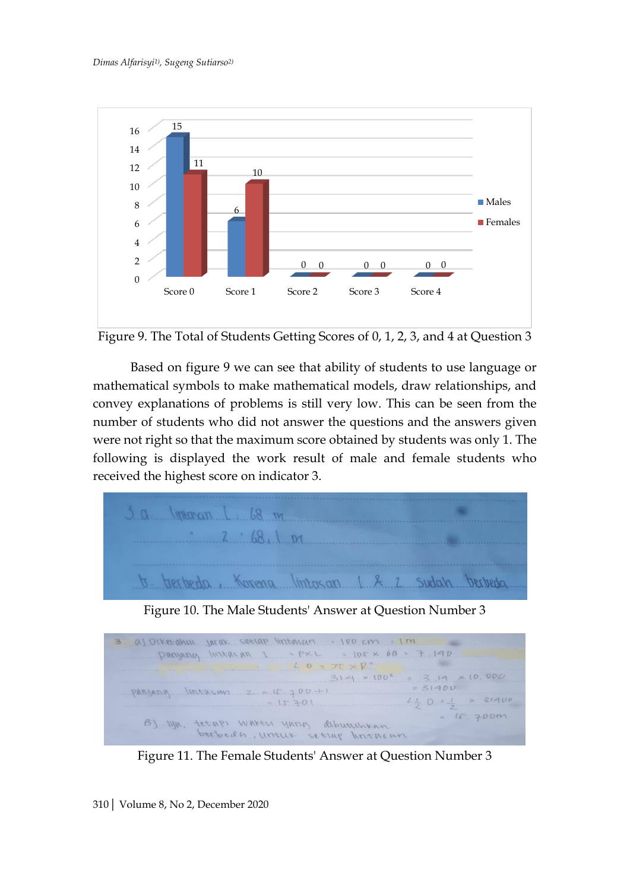![](_page_10_Figure_1.jpeg)

![](_page_10_Figure_2.jpeg)

Based on figure 9 we can see that ability of students to use language or mathematical symbols to make mathematical models, draw relationships, and convey explanations of problems is still very low. This can be seen from the number of students who did not answer the questions and the answers given were not right so that the maximum score obtained by students was only 1. The following is displayed the work result of male and female students who received the highest score on indicator 3.

![](_page_10_Figure_4.jpeg)

Figure 10. The Male Students' Answer at Question Number 3

![](_page_10_Figure_6.jpeg)

Figure 11. The Female Students' Answer at Question Number 3

310| Volume 8, No 2, December 2020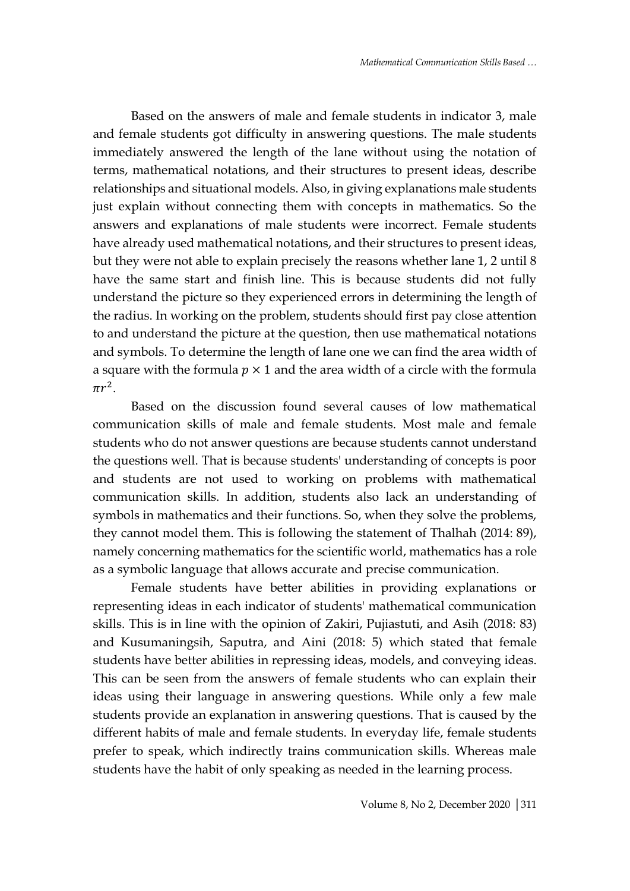Based on the answers of male and female students in indicator 3, male and female students got difficulty in answering questions. The male students immediately answered the length of the lane without using the notation of terms, mathematical notations, and their structures to present ideas, describe relationships and situational models. Also, in giving explanations male students just explain without connecting them with concepts in mathematics. So the answers and explanations of male students were incorrect. Female students have already used mathematical notations, and their structures to present ideas, but they were not able to explain precisely the reasons whether lane 1, 2 until 8 have the same start and finish line. This is because students did not fully understand the picture so they experienced errors in determining the length of the radius. In working on the problem, students should first pay close attention to and understand the picture at the question, then use mathematical notations and symbols. To determine the length of lane one we can find the area width of a square with the formula  $p \times 1$  and the area width of a circle with the formula  $\pi r^2$ .

Based on the discussion found several causes of low mathematical communication skills of male and female students. Most male and female students who do not answer questions are because students cannot understand the questions well. That is because students' understanding of concepts is poor and students are not used to working on problems with mathematical communication skills. In addition, students also lack an understanding of symbols in mathematics and their functions. So, when they solve the problems, they cannot model them. This is following the statement of Thalhah (2014: 89), namely concerning mathematics for the scientific world, mathematics has a role as a symbolic language that allows accurate and precise communication.

Female students have better abilities in providing explanations or representing ideas in each indicator of students' mathematical communication skills. This is in line with the opinion of Zakiri, Pujiastuti, and Asih (2018: 83) and Kusumaningsih, Saputra, and Aini (2018: 5) which stated that female students have better abilities in repressing ideas, models, and conveying ideas. This can be seen from the answers of female students who can explain their ideas using their language in answering questions. While only a few male students provide an explanation in answering questions. That is caused by the different habits of male and female students. In everyday life, female students prefer to speak, which indirectly trains communication skills. Whereas male students have the habit of only speaking as needed in the learning process.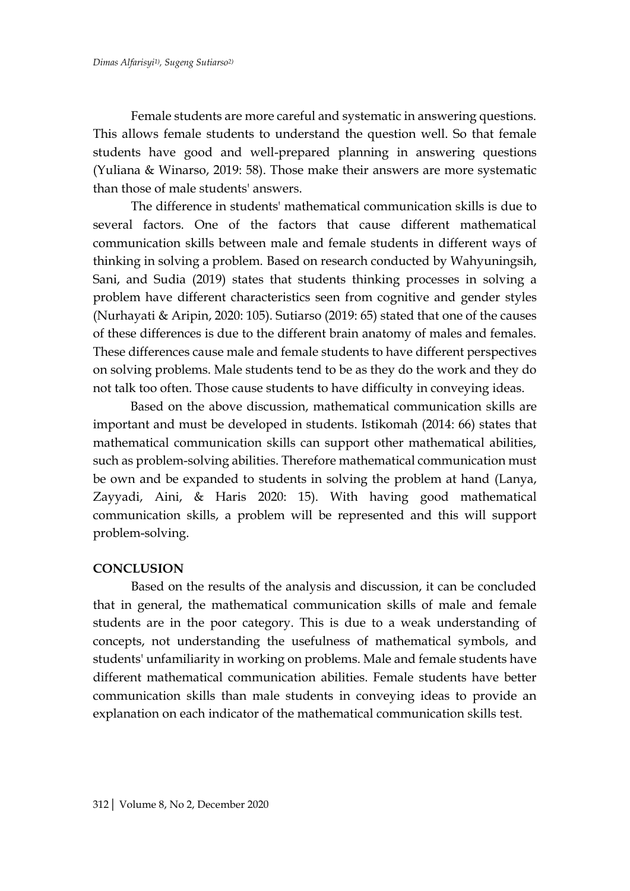Female students are more careful and systematic in answering questions. This allows female students to understand the question well. So that female students have good and well-prepared planning in answering questions (Yuliana & Winarso, 2019: 58). Those make their answers are more systematic than those of male students' answers.

The difference in students' mathematical communication skills is due to several factors. One of the factors that cause different mathematical communication skills between male and female students in different ways of thinking in solving a problem. Based on research conducted by Wahyuningsih, Sani, and Sudia (2019) states that students thinking processes in solving a problem have different characteristics seen from cognitive and gender styles (Nurhayati & Aripin, 2020: 105). Sutiarso (2019: 65) stated that one of the causes of these differences is due to the different brain anatomy of males and females. These differences cause male and female students to have different perspectives on solving problems. Male students tend to be as they do the work and they do not talk too often. Those cause students to have difficulty in conveying ideas.

Based on the above discussion, mathematical communication skills are important and must be developed in students. Istikomah (2014: 66) states that mathematical communication skills can support other mathematical abilities, such as problem-solving abilities. Therefore mathematical communication must be own and be expanded to students in solving the problem at hand (Lanya, Zayyadi, Aini, & Haris 2020: 15). With having good mathematical communication skills, a problem will be represented and this will support problem-solving.

# **CONCLUSION**

Based on the results of the analysis and discussion, it can be concluded that in general, the mathematical communication skills of male and female students are in the poor category. This is due to a weak understanding of concepts, not understanding the usefulness of mathematical symbols, and students' unfamiliarity in working on problems. Male and female students have different mathematical communication abilities. Female students have better communication skills than male students in conveying ideas to provide an explanation on each indicator of the mathematical communication skills test.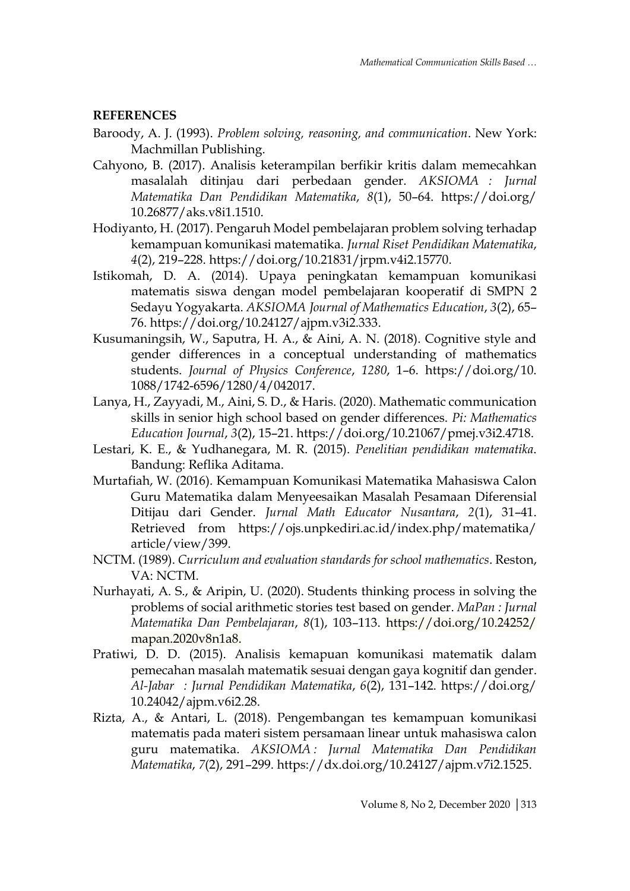# **REFERENCES**

- Baroody, A. J. (1993). *Problem solving, reasoning, and communication*. New York: Machmillan Publishing.
- Cahyono, B. (2017). Analisis keterampilan berfikir kritis dalam memecahkan masalalah ditinjau dari perbedaan gender. *AKSIOMA : Jurnal Matematika Dan Pendidikan Matematika*, *8*(1), 50–64. https://doi.org/ 10.26877/aks.v8i1.1510.
- Hodiyanto, H. (2017). Pengaruh Model pembelajaran problem solving terhadap kemampuan komunikasi matematika. *Jurnal Riset Pendidikan Matematika*, *4*(2), 219–228. https://doi.org/10.21831/jrpm.v4i2.15770.
- Istikomah, D. A. (2014). Upaya peningkatan kemampuan komunikasi matematis siswa dengan model pembelajaran kooperatif di SMPN 2 Sedayu Yogyakarta. *AKSIOMA Journal of Mathematics Education*, *3*(2), 65– 76. https://doi.org/10.24127/ajpm.v3i2.333.
- Kusumaningsih, W., Saputra, H. A., & Aini, A. N. (2018). Cognitive style and gender differences in a conceptual understanding of mathematics students. *Journal of Physics Conference*, *1280*, 1–6. https://doi.org/10. 1088/1742-6596/1280/4/042017.
- Lanya, H., Zayyadi, M., Aini, S. D., & Haris. (2020). Mathematic communication skills in senior high school based on gender differences. *Pi: Mathematics Education Journal*, *3*(2), 15–21. https://doi.org/10.21067/pmej.v3i2.4718.
- Lestari, K. E., & Yudhanegara, M. R. (2015). *Penelitian pendidikan matematika*. Bandung: Reflika Aditama.
- Murtafiah, W. (2016). Kemampuan Komunikasi Matematika Mahasiswa Calon Guru Matematika dalam Menyeesaikan Masalah Pesamaan Diferensial Ditijau dari Gender. *Jurnal Math Educator Nusantara*, *2*(1), 31–41. Retrieved from https://ojs.unpkediri.ac.id/index.php/matematika/ article/view/399.
- NCTM. (1989). *Curriculum and evaluation standards for school mathematics*. Reston, VA: NCTM.
- Nurhayati, A. S., & Aripin, U. (2020). Students thinking process in solving the problems of social arithmetic stories test based on gender. *MaPan : Jurnal Matematika Dan Pembelajaran*, *8*(1), 103–113. https://doi.org/10.24252/ mapan.2020v8n1a8.
- Pratiwi, D. D. (2015). Analisis kemapuan komunikasi matematik dalam pemecahan masalah matematik sesuai dengan gaya kognitif dan gender. *Al-Jabar : Jurnal Pendidikan Matematika*, *6*(2), 131–142. https://doi.org/ 10.24042/ajpm.v6i2.28.
- Rizta, A., & Antari, L. (2018). Pengembangan tes kemampuan komunikasi matematis pada materi sistem persamaan linear untuk mahasiswa calon guru matematika. *AKSIOMA : Jurnal Matematika Dan Pendidikan Matematika*, *7*(2), 291–299. https://dx.doi.org/10.24127/ajpm.v7i2.1525.